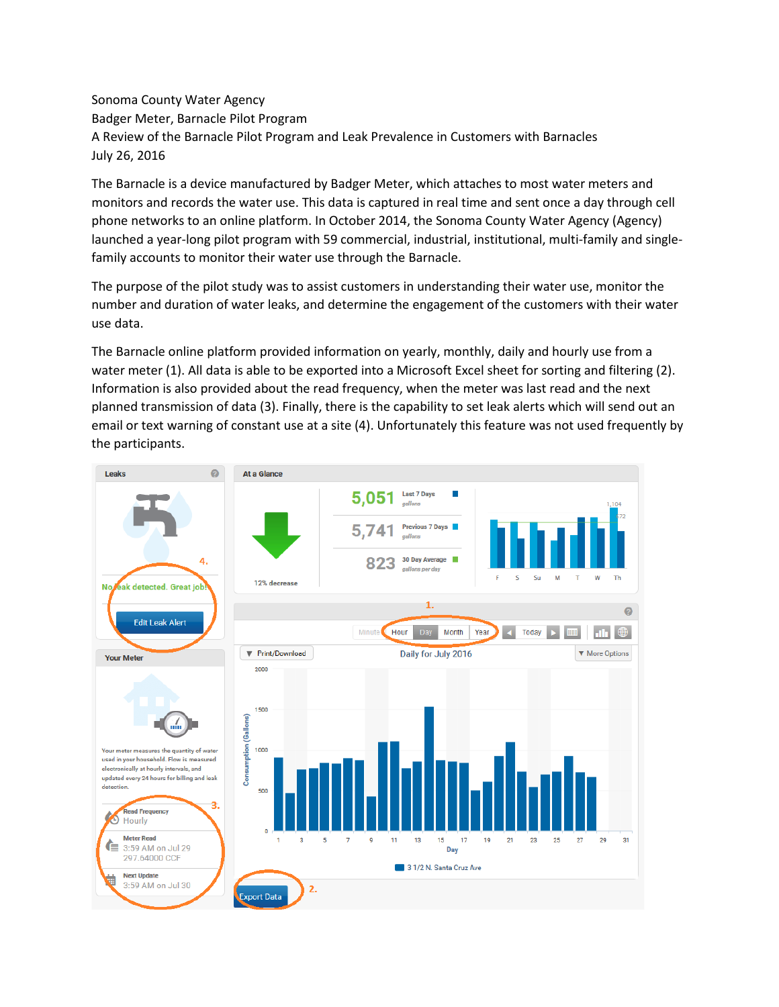Sonoma County Water Agency Badger Meter, Barnacle Pilot Program A Review of the Barnacle Pilot Program and Leak Prevalence in Customers with Barnacles July 26, 2016

The Barnacle is a device manufactured by Badger Meter, which attaches to most water meters and monitors and records the water use. This data is captured in real time and sent once a day through cell phone networks to an online platform. In October 2014, the Sonoma County Water Agency (Agency) launched a year-long pilot program with 59 commercial, industrial, institutional, multi-family and singlefamily accounts to monitor their water use through the Barnacle.

The purpose of the pilot study was to assist customers in understanding their water use, monitor the number and duration of water leaks, and determine the engagement of the customers with their water use data.

The Barnacle online platform provided information on yearly, monthly, daily and hourly use from a water meter (1). All data is able to be exported into a Microsoft Excel sheet for sorting and filtering (2). Information is also provided about the read frequency, when the meter was last read and the next planned transmission of data (3). Finally, there is the capability to set leak alerts which will send out an email or text warning of constant use at a site (4). Unfortunately this feature was not used frequently by the participants.

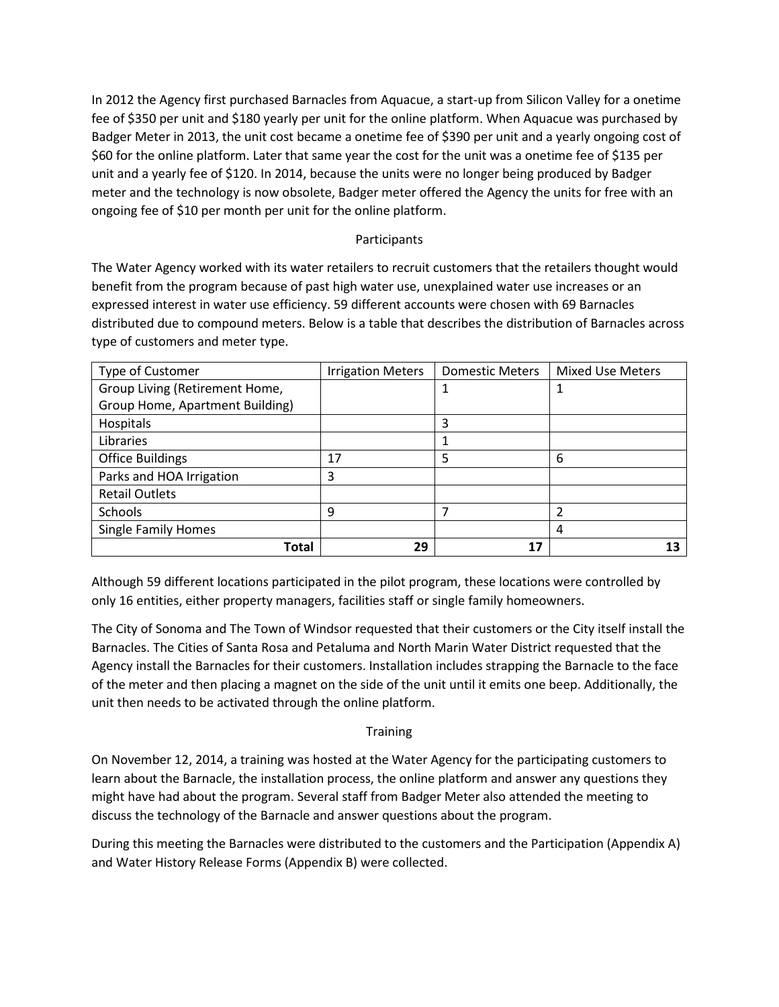In 2012 the Agency first purchased Barnacles from Aquacue, a start-up from Silicon Valley for a onetime fee of \$350 per unit and \$180 yearly per unit for the online platform. When Aquacue was purchased by Badger Meter in 2013, the unit cost became a onetime fee of \$390 per unit and a yearly ongoing cost of \$60 for the online platform. Later that same year the cost for the unit was a onetime fee of \$135 per unit and a yearly fee of \$120. In 2014, because the units were no longer being produced by Badger meter and the technology is now obsolete, Badger meter offered the Agency the units for free with an ongoing fee of \$10 per month per unit for the online platform.

#### Participants

The Water Agency worked with its water retailers to recruit customers that the retailers thought would benefit from the program because of past high water use, unexplained water use increases or an expressed interest in water use efficiency. 59 different accounts were chosen with 69 Barnacles distributed due to compound meters. Below is a table that describes the distribution of Barnacles across type of customers and meter type.

| Type of Customer                | <b>Irrigation Meters</b> | <b>Domestic Meters</b> | <b>Mixed Use Meters</b> |
|---------------------------------|--------------------------|------------------------|-------------------------|
| Group Living (Retirement Home,  |                          | 1                      |                         |
| Group Home, Apartment Building) |                          |                        |                         |
| Hospitals                       |                          | 3                      |                         |
| Libraries                       |                          |                        |                         |
| <b>Office Buildings</b>         | 17                       | 5                      | 6                       |
| Parks and HOA Irrigation        | 3                        |                        |                         |
| <b>Retail Outlets</b>           |                          |                        |                         |
| <b>Schools</b>                  | 9                        |                        | ົາ                      |
| <b>Single Family Homes</b>      |                          |                        | 4                       |
| Total                           | 29                       | 17                     |                         |

Although 59 different locations participated in the pilot program, these locations were controlled by only 16 entities, either property managers, facilities staff or single family homeowners.

The City of Sonoma and The Town of Windsor requested that their customers or the City itself install the Barnacles. The Cities of Santa Rosa and Petaluma and North Marin Water District requested that the Agency install the Barnacles for their customers. Installation includes strapping the Barnacle to the face of the meter and then placing a magnet on the side of the unit until it emits one beep. Additionally, the unit then needs to be activated through the online platform.

#### **Training**

On November 12, 2014, a training was hosted at the Water Agency for the participating customers to learn about the Barnacle, the installation process, the online platform and answer any questions they might have had about the program. Several staff from Badger Meter also attended the meeting to discuss the technology of the Barnacle and answer questions about the program.

During this meeting the Barnacles were distributed to the customers and the Participation (Appendix A) and Water History Release Forms (Appendix B) were collected.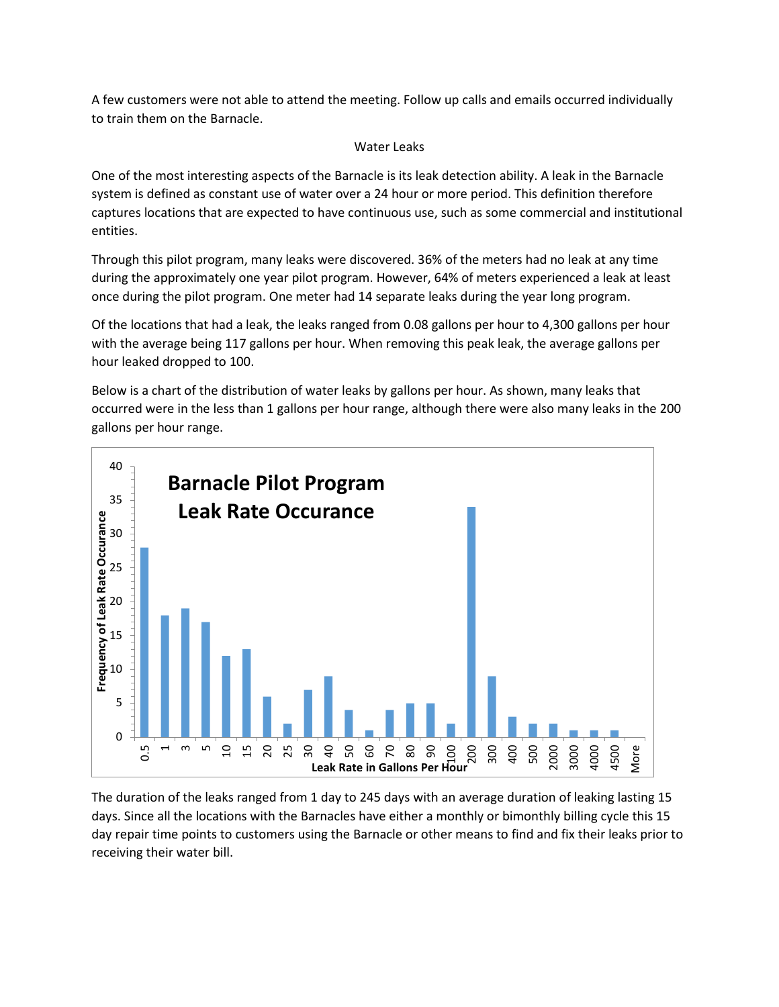A few customers were not able to attend the meeting. Follow up calls and emails occurred individually to train them on the Barnacle.

#### Water Leaks

One of the most interesting aspects of the Barnacle is its leak detection ability. A leak in the Barnacle system is defined as constant use of water over a 24 hour or more period. This definition therefore captures locations that are expected to have continuous use, such as some commercial and institutional entities.

Through this pilot program, many leaks were discovered. 36% of the meters had no leak at any time during the approximately one year pilot program. However, 64% of meters experienced a leak at least once during the pilot program. One meter had 14 separate leaks during the year long program.

Of the locations that had a leak, the leaks ranged from 0.08 gallons per hour to 4,300 gallons per hour with the average being 117 gallons per hour. When removing this peak leak, the average gallons per hour leaked dropped to 100.

Below is a chart of the distribution of water leaks by gallons per hour. As shown, many leaks that occurred were in the less than 1 gallons per hour range, although there were also many leaks in the 200 gallons per hour range.



The duration of the leaks ranged from 1 day to 245 days with an average duration of leaking lasting 15 days. Since all the locations with the Barnacles have either a monthly or bimonthly billing cycle this 15 day repair time points to customers using the Barnacle or other means to find and fix their leaks prior to receiving their water bill.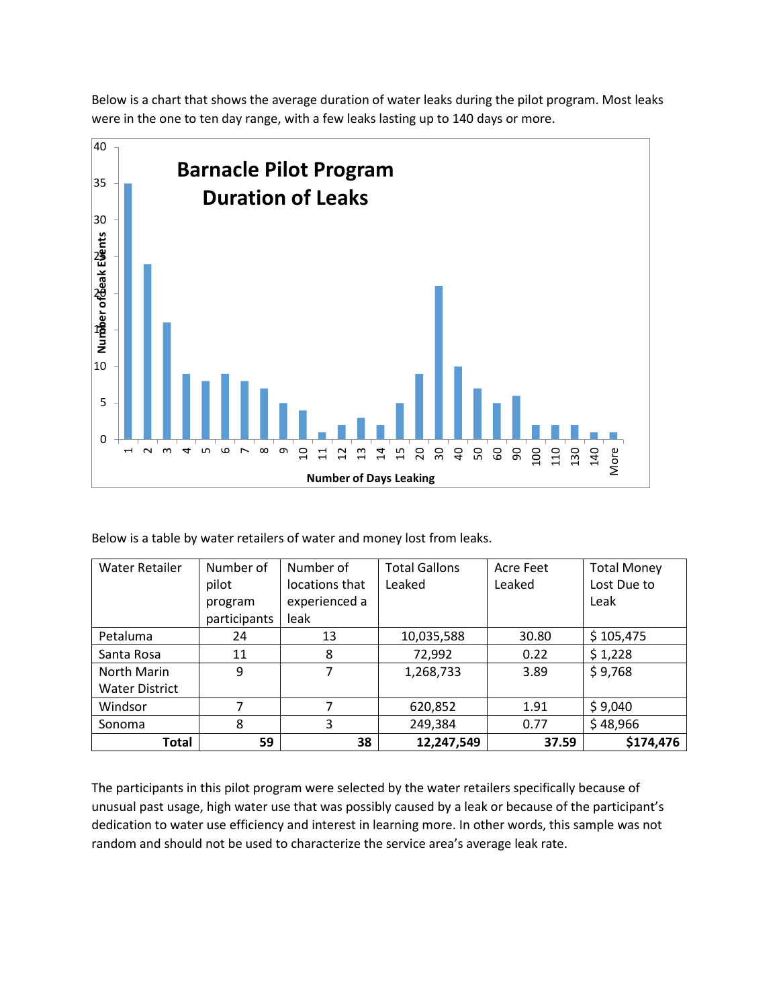Below is a chart that shows the average duration of water leaks during the pilot program. Most leaks were in the one to ten day range, with a few leaks lasting up to 140 days or more.



Below is a table by water retailers of water and money lost from leaks.

| <b>Water Retailer</b> | Number of    | Number of      | <b>Total Gallons</b> | Acre Feet | <b>Total Money</b> |
|-----------------------|--------------|----------------|----------------------|-----------|--------------------|
|                       | pilot        | locations that | Leaked               | Leaked    | Lost Due to        |
|                       | program      | experienced a  |                      |           | Leak               |
|                       | participants | leak           |                      |           |                    |
| Petaluma              | 24           | 13             | 10,035,588           | 30.80     | \$105,475          |
| Santa Rosa            | 11           | 8              | 72,992               | 0.22      | \$1,228            |
| North Marin           | 9            | 7              | 1,268,733            | 3.89      | \$9,768            |
| <b>Water District</b> |              |                |                      |           |                    |
| Windsor               |              |                | 620,852              | 1.91      | \$9,040            |
| Sonoma                | 8            | 3              | 249,384              | 0.77      | \$48,966           |
| <b>Total</b>          | 59           | 38             | 12,247,549           | 37.59     | \$174,476          |

The participants in this pilot program were selected by the water retailers specifically because of unusual past usage, high water use that was possibly caused by a leak or because of the participant's dedication to water use efficiency and interest in learning more. In other words, this sample was not random and should not be used to characterize the service area's average leak rate.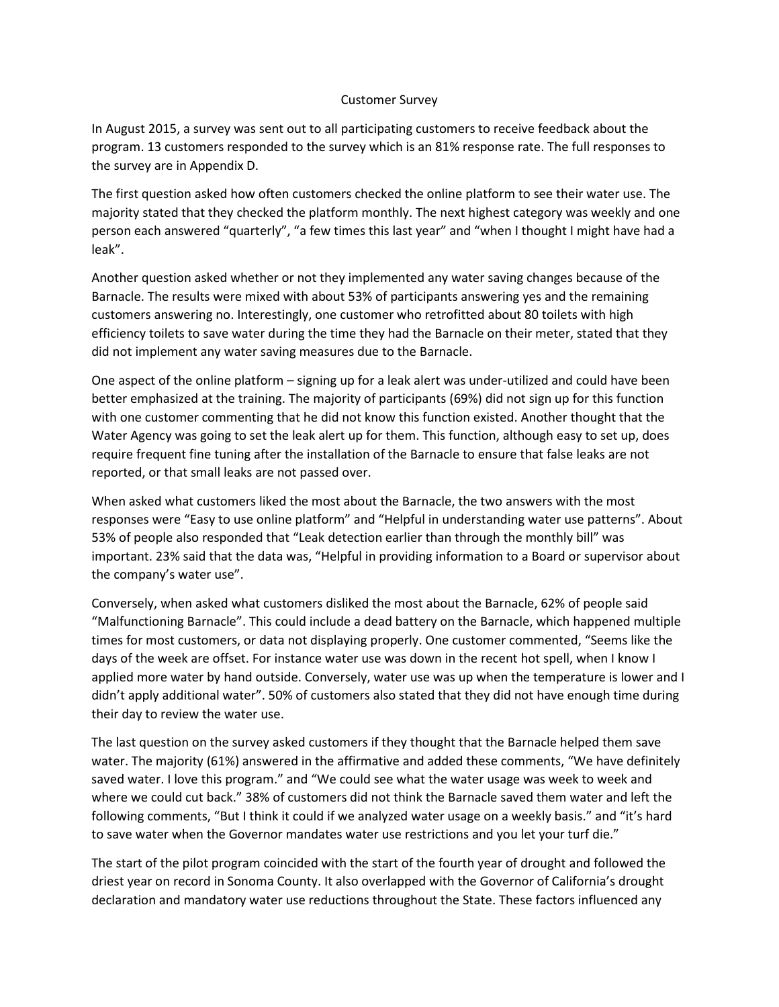#### Customer Survey

In August 2015, a survey was sent out to all participating customers to receive feedback about the program. 13 customers responded to the survey which is an 81% response rate. The full responses to the survey are in Appendix D.

The first question asked how often customers checked the online platform to see their water use. The majority stated that they checked the platform monthly. The next highest category was weekly and one person each answered "quarterly", "a few times this last year" and "when I thought I might have had a leak".

Another question asked whether or not they implemented any water saving changes because of the Barnacle. The results were mixed with about 53% of participants answering yes and the remaining customers answering no. Interestingly, one customer who retrofitted about 80 toilets with high efficiency toilets to save water during the time they had the Barnacle on their meter, stated that they did not implement any water saving measures due to the Barnacle.

One aspect of the online platform – signing up for a leak alert was under-utilized and could have been better emphasized at the training. The majority of participants (69%) did not sign up for this function with one customer commenting that he did not know this function existed. Another thought that the Water Agency was going to set the leak alert up for them. This function, although easy to set up, does require frequent fine tuning after the installation of the Barnacle to ensure that false leaks are not reported, or that small leaks are not passed over.

When asked what customers liked the most about the Barnacle, the two answers with the most responses were "Easy to use online platform" and "Helpful in understanding water use patterns". About 53% of people also responded that "Leak detection earlier than through the monthly bill" was important. 23% said that the data was, "Helpful in providing information to a Board or supervisor about the company's water use".

Conversely, when asked what customers disliked the most about the Barnacle, 62% of people said "Malfunctioning Barnacle". This could include a dead battery on the Barnacle, which happened multiple times for most customers, or data not displaying properly. One customer commented, "Seems like the days of the week are offset. For instance water use was down in the recent hot spell, when I know I applied more water by hand outside. Conversely, water use was up when the temperature is lower and I didn't apply additional water". 50% of customers also stated that they did not have enough time during their day to review the water use.

The last question on the survey asked customers if they thought that the Barnacle helped them save water. The majority (61%) answered in the affirmative and added these comments, "We have definitely saved water. I love this program." and "We could see what the water usage was week to week and where we could cut back." 38% of customers did not think the Barnacle saved them water and left the following comments, "But I think it could if we analyzed water usage on a weekly basis." and "it's hard to save water when the Governor mandates water use restrictions and you let your turf die."

The start of the pilot program coincided with the start of the fourth year of drought and followed the driest year on record in Sonoma County. It also overlapped with the Governor of California's drought declaration and mandatory water use reductions throughout the State. These factors influenced any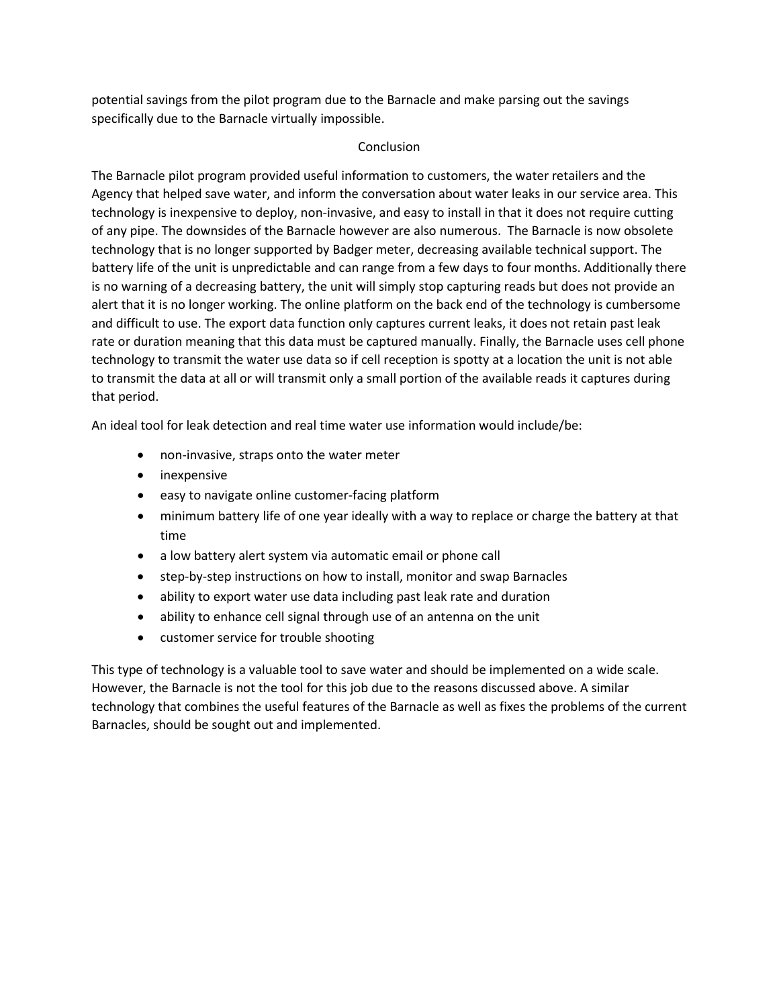potential savings from the pilot program due to the Barnacle and make parsing out the savings specifically due to the Barnacle virtually impossible.

#### Conclusion

The Barnacle pilot program provided useful information to customers, the water retailers and the Agency that helped save water, and inform the conversation about water leaks in our service area. This technology is inexpensive to deploy, non-invasive, and easy to install in that it does not require cutting of any pipe. The downsides of the Barnacle however are also numerous. The Barnacle is now obsolete technology that is no longer supported by Badger meter, decreasing available technical support. The battery life of the unit is unpredictable and can range from a few days to four months. Additionally there is no warning of a decreasing battery, the unit will simply stop capturing reads but does not provide an alert that it is no longer working. The online platform on the back end of the technology is cumbersome and difficult to use. The export data function only captures current leaks, it does not retain past leak rate or duration meaning that this data must be captured manually. Finally, the Barnacle uses cell phone technology to transmit the water use data so if cell reception is spotty at a location the unit is not able to transmit the data at all or will transmit only a small portion of the available reads it captures during that period.

An ideal tool for leak detection and real time water use information would include/be:

- non-invasive, straps onto the water meter
- inexpensive
- easy to navigate online customer-facing platform
- minimum battery life of one year ideally with a way to replace or charge the battery at that time
- a low battery alert system via automatic email or phone call
- step-by-step instructions on how to install, monitor and swap Barnacles
- ability to export water use data including past leak rate and duration
- ability to enhance cell signal through use of an antenna on the unit
- customer service for trouble shooting

This type of technology is a valuable tool to save water and should be implemented on a wide scale. However, the Barnacle is not the tool for this job due to the reasons discussed above. A similar technology that combines the useful features of the Barnacle as well as fixes the problems of the current Barnacles, should be sought out and implemented.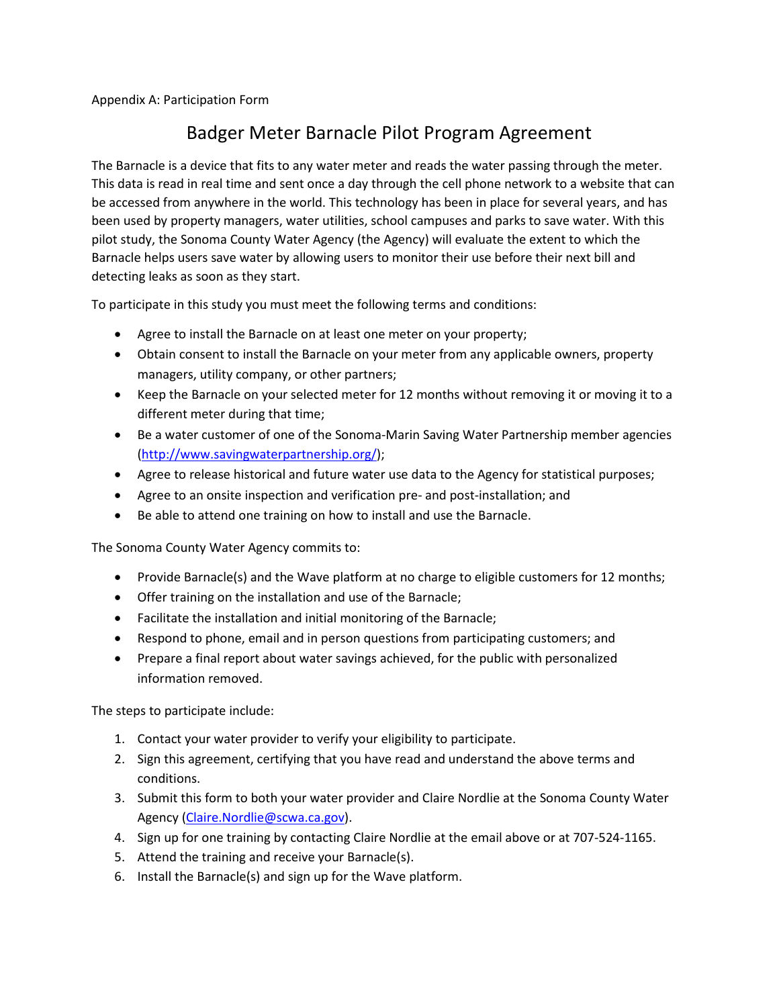Appendix A: Participation Form

# Badger Meter Barnacle Pilot Program Agreement

The Barnacle is a device that fits to any water meter and reads the water passing through the meter. This data is read in real time and sent once a day through the cell phone network to a website that can be accessed from anywhere in the world. This technology has been in place for several years, and has been used by property managers, water utilities, school campuses and parks to save water. With this pilot study, the Sonoma County Water Agency (the Agency) will evaluate the extent to which the Barnacle helps users save water by allowing users to monitor their use before their next bill and detecting leaks as soon as they start.

To participate in this study you must meet the following terms and conditions:

- Agree to install the Barnacle on at least one meter on your property;
- Obtain consent to install the Barnacle on your meter from any applicable owners, property managers, utility company, or other partners;
- Keep the Barnacle on your selected meter for 12 months without removing it or moving it to a different meter during that time;
- Be a water customer of one of the Sonoma-Marin Saving Water Partnership member agencies [\(http://www.savingwaterpartnership.org/\)](http://www.savingwaterpartnership.org/);
- Agree to release historical and future water use data to the Agency for statistical purposes;
- Agree to an onsite inspection and verification pre- and post-installation; and
- Be able to attend one training on how to install and use the Barnacle.

The Sonoma County Water Agency commits to:

- Provide Barnacle(s) and the Wave platform at no charge to eligible customers for 12 months;
- Offer training on the installation and use of the Barnacle;
- Facilitate the installation and initial monitoring of the Barnacle;
- Respond to phone, email and in person questions from participating customers; and
- Prepare a final report about water savings achieved, for the public with personalized information removed.

The steps to participate include:

- 1. Contact your water provider to verify your eligibility to participate.
- 2. Sign this agreement, certifying that you have read and understand the above terms and conditions.
- 3. Submit this form to both your water provider and Claire Nordlie at the Sonoma County Water Agency [\(Claire.Nordlie@scwa.ca.gov\)](mailto:Claire.Nordlie@scwa.ca.gov).
- 4. Sign up for one training by contacting Claire Nordlie at the email above or at 707-524-1165.
- 5. Attend the training and receive your Barnacle(s).
- 6. Install the Barnacle(s) and sign up for the Wave platform.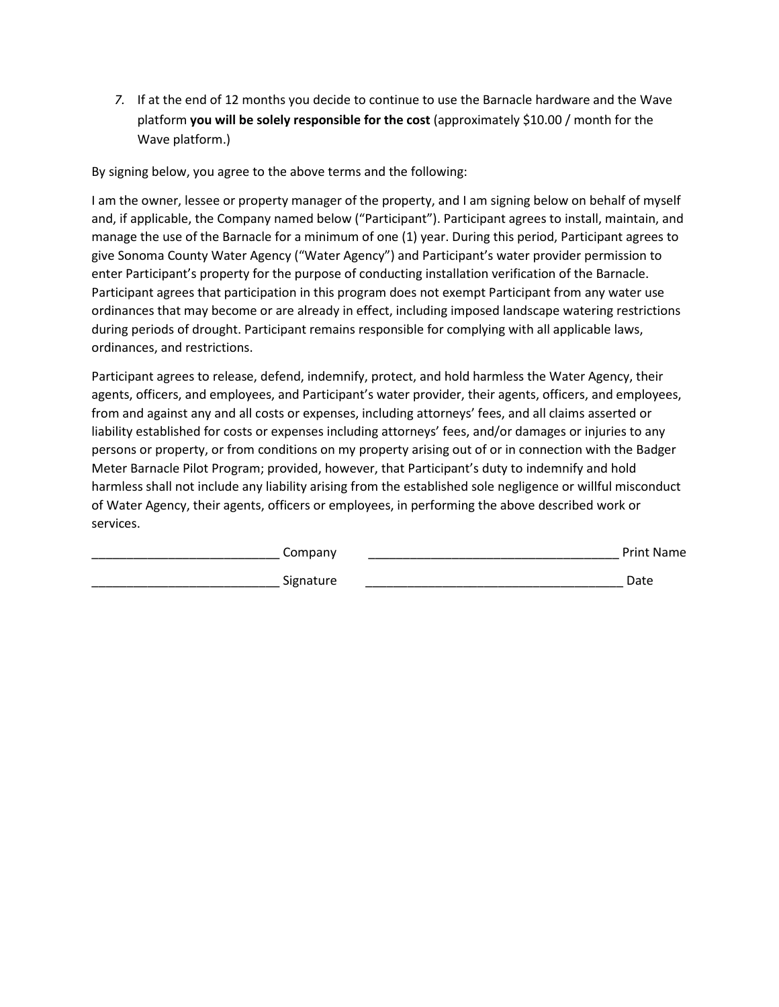*7.* If at the end of 12 months you decide to continue to use the Barnacle hardware and the Wave platform **you will be solely responsible for the cost** (approximately \$10.00 / month for the Wave platform.)

By signing below, you agree to the above terms and the following:

I am the owner, lessee or property manager of the property, and I am signing below on behalf of myself and, if applicable, the Company named below ("Participant"). Participant agrees to install, maintain, and manage the use of the Barnacle for a minimum of one (1) year. During this period, Participant agrees to give Sonoma County Water Agency ("Water Agency") and Participant's water provider permission to enter Participant's property for the purpose of conducting installation verification of the Barnacle. Participant agrees that participation in this program does not exempt Participant from any water use ordinances that may become or are already in effect, including imposed landscape watering restrictions during periods of drought. Participant remains responsible for complying with all applicable laws, ordinances, and restrictions.

Participant agrees to release, defend, indemnify, protect, and hold harmless the Water Agency, their agents, officers, and employees, and Participant's water provider, their agents, officers, and employees, from and against any and all costs or expenses, including attorneys' fees, and all claims asserted or liability established for costs or expenses including attorneys' fees, and/or damages or injuries to any persons or property, or from conditions on my property arising out of or in connection with the Badger Meter Barnacle Pilot Program; provided, however, that Participant's duty to indemnify and hold harmless shall not include any liability arising from the established sole negligence or willful misconduct of Water Agency, their agents, officers or employees, in performing the above described work or services.

| Company   | <b>Print Name</b> |
|-----------|-------------------|
| Signature | Date              |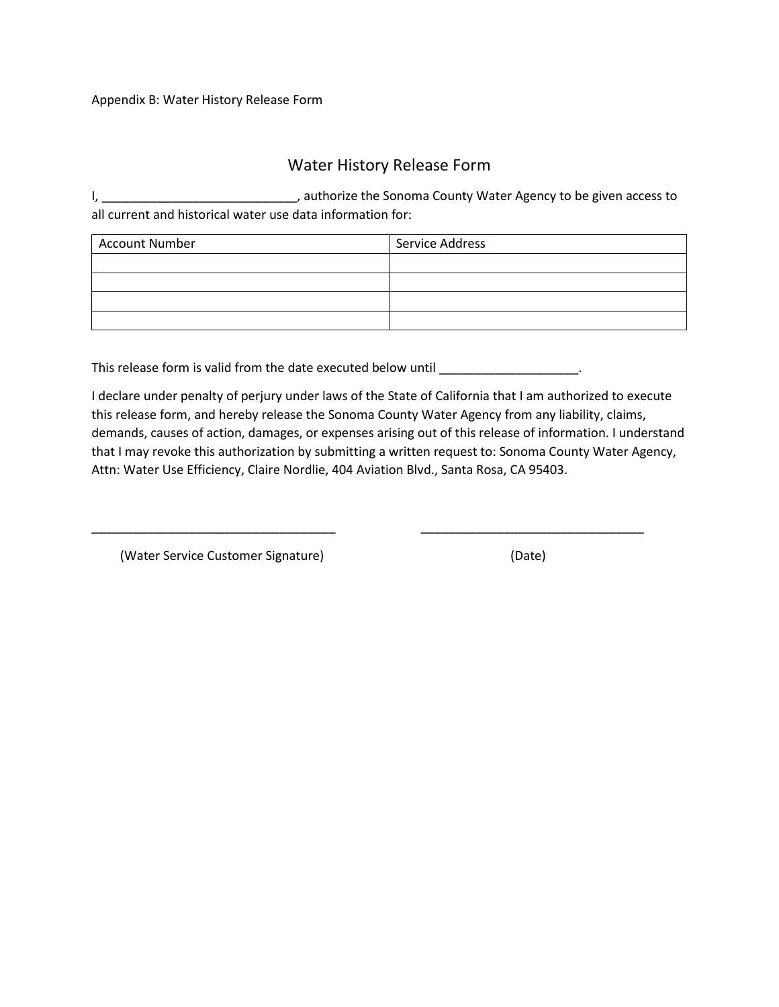# Water History Release Form

I, \_\_\_\_\_\_\_\_\_\_\_\_\_\_\_\_\_\_\_\_\_\_\_\_\_\_\_\_, authorize the Sonoma County Water Agency to be given access to all current and historical water use data information for:

| <b>Account Number</b> | Service Address |
|-----------------------|-----------------|
|                       |                 |
|                       |                 |
|                       |                 |
|                       |                 |

This release form is valid from the date executed below until \_\_\_\_\_\_\_\_\_\_\_\_\_\_\_\_\_\_\_.

I declare under penalty of perjury under laws of the State of California that I am authorized to execute this release form, and hereby release the Sonoma County Water Agency from any liability, claims, demands, causes of action, damages, or expenses arising out of this release of information. I understand that I may revoke this authorization by submitting a written request to: Sonoma County Water Agency, Attn: Water Use Efficiency, Claire Nordlie, 404 Aviation Blvd., Santa Rosa, CA 95403.

\_\_\_\_\_\_\_\_\_\_\_\_\_\_\_\_\_\_\_\_\_\_\_\_\_\_\_\_\_\_\_\_\_\_\_ \_\_\_\_\_\_\_\_\_\_\_\_\_\_\_\_\_\_\_\_\_\_\_\_\_\_\_\_\_\_\_\_

(Water Service Customer Signature) (Date)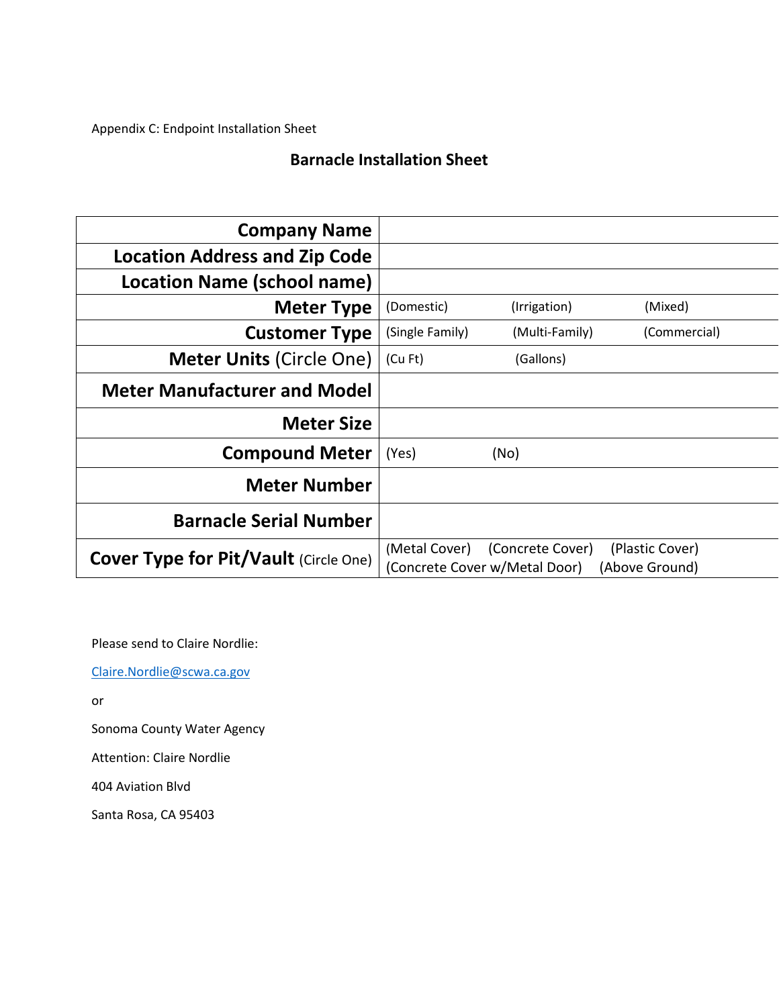Appendix C: Endpoint Installation Sheet

# **Barnacle Installation Sheet**

| <b>Company Name</b>                          |                 |                                                   |                                   |
|----------------------------------------------|-----------------|---------------------------------------------------|-----------------------------------|
| <b>Location Address and Zip Code</b>         |                 |                                                   |                                   |
| Location Name (school name)                  |                 |                                                   |                                   |
| <b>Meter Type</b>                            | (Domestic)      | (Irrigation)                                      | (Mixed)                           |
| <b>Customer Type</b>                         | (Single Family) | (Multi-Family)                                    | (Commercial)                      |
| <b>Meter Units (Circle One)</b>              | (Cu Ft)         | (Gallons)                                         |                                   |
| <b>Meter Manufacturer and Model</b>          |                 |                                                   |                                   |
| <b>Meter Size</b>                            |                 |                                                   |                                   |
| <b>Compound Meter</b>                        | (Yes)           | (No)                                              |                                   |
| <b>Meter Number</b>                          |                 |                                                   |                                   |
| <b>Barnacle Serial Number</b>                |                 |                                                   |                                   |
| <b>Cover Type for Pit/Vault (Circle One)</b> | (Metal Cover)   | (Concrete Cover)<br>(Concrete Cover w/Metal Door) | (Plastic Cover)<br>(Above Ground) |

Please send to Claire Nordlie:

[Claire.Nordlie@scwa.ca.gov](mailto:Claire.Nordlie@scwa.ca.gov)

or

Sonoma County Water Agency

Attention: Claire Nordlie

404 Aviation Blvd

Santa Rosa, CA 95403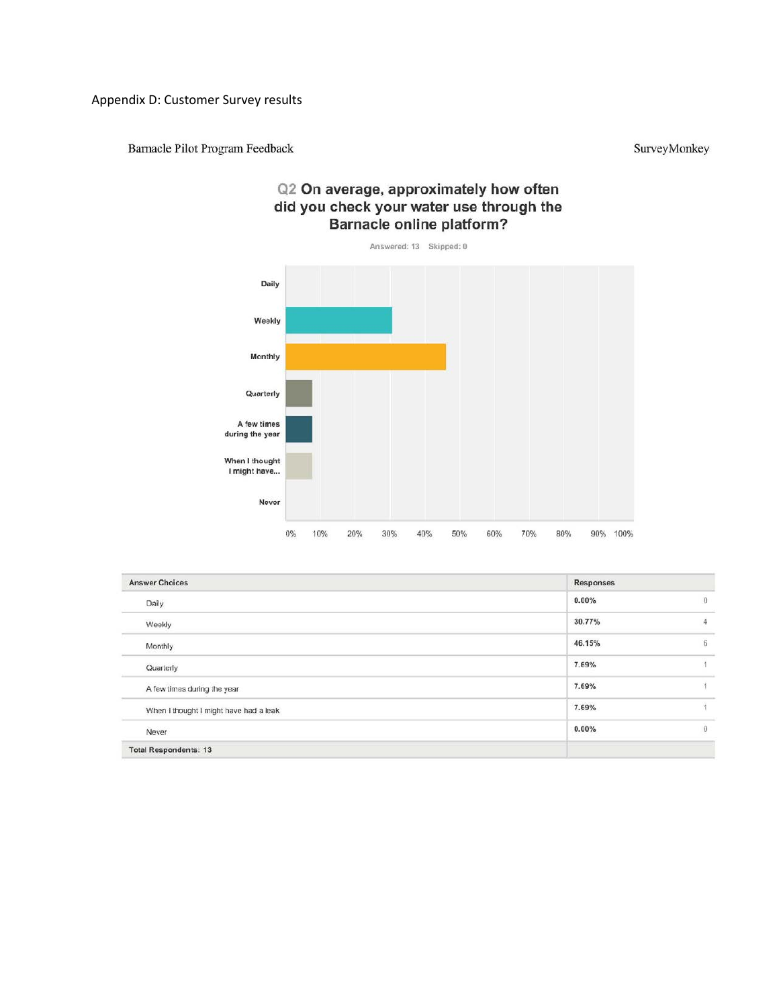Appendix D: Customer Survey results

Barnacle Pilot Program Feedback

SurveyMonkey

# Q2 On average, approximately how often did you check your water use through the **Barnacle online platform?**



| <b>Answer Choices</b>                  | Responses |                |
|----------------------------------------|-----------|----------------|
| Daily                                  | 0.00%     | $\Omega$       |
| Weekly                                 | 30.77%    | $\overline{4}$ |
| Monthly                                | 46.15%    | 6              |
| Quarterly                              | 7.69%     | $\lambda$      |
| A few times during the year            | 7.69%     | 雀              |
| When I thought I might have had a leak | 7.69%     | Ÿ              |
| Never                                  | 0.00%     | $\overline{0}$ |
| <b>Total Respondents: 13</b>           |           |                |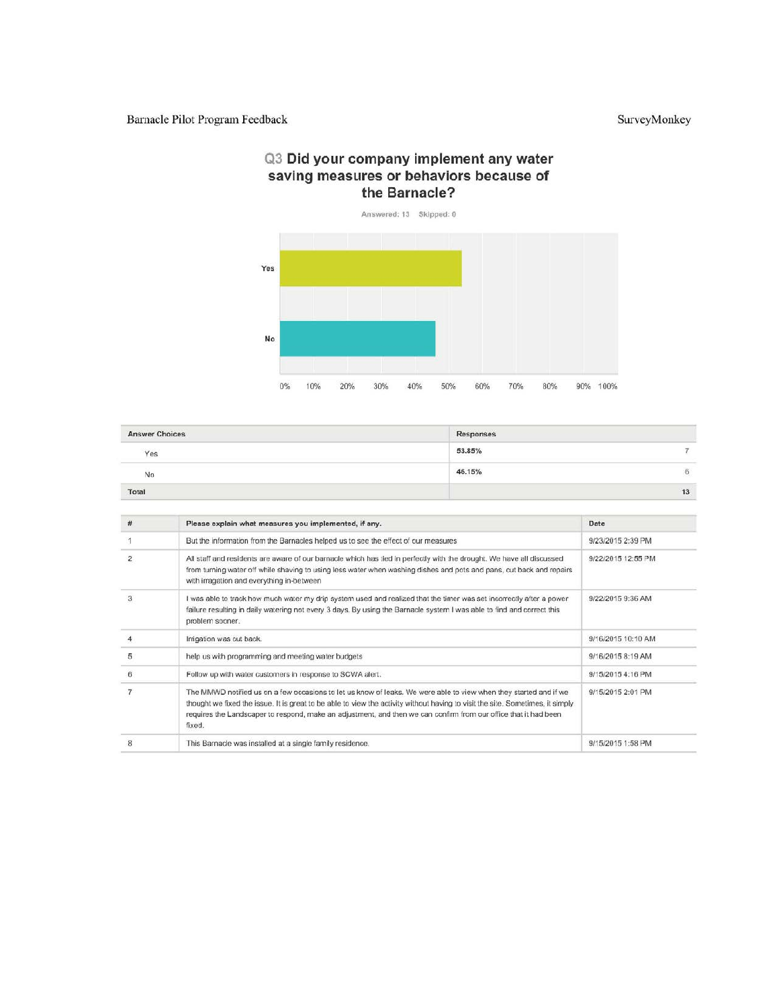#### Q3 Did your company implement any water saving measures or behaviors because of the Barnacle?



| <b>Answer Choices</b> | Responses             |               |
|-----------------------|-----------------------|---------------|
| Yes                   | 53.85%                | $\rightarrow$ |
| No                    | 46.15%<br>----------- | -15           |
| Total                 |                       | 13            |

| #              | Please explain what measures you implemented, if any.                                                                                                                                                                                                                                                                                                                             | Date               |
|----------------|-----------------------------------------------------------------------------------------------------------------------------------------------------------------------------------------------------------------------------------------------------------------------------------------------------------------------------------------------------------------------------------|--------------------|
|                | But the information from the Barnacles helped us to see the effect of our measures                                                                                                                                                                                                                                                                                                | 9/23/2015 2:39 PM  |
| $\overline{c}$ | All staff and residents are aware of our barnacle which has tied in perfectly with the drought. We have all discussed<br>from turning water off while shaving to using less water when washing dishes and pots and pans, cut back and repairs<br>with irragation and everything in-between                                                                                        | 9/22/2015 12:55 PM |
| 3              | I was able to track how much water my drip system used and realized that the timer was set incorrectly after a power<br>failure resulting in daily watering not every 3 days. By using the Barnacle system I was able to find and correct this<br>problem sooner.                                                                                                                 | 9/22/2015 9:36 AM  |
|                | Irrigation was cut back.                                                                                                                                                                                                                                                                                                                                                          | 9/16/2015 10:10 AM |
| 5              | help us with programming and meeting water budgets                                                                                                                                                                                                                                                                                                                                | 9/16/2015 8:19 AM  |
| 6              | Follow up with water customers in response to SCWA alert.                                                                                                                                                                                                                                                                                                                         | 9/15/2015 4:16 PM  |
|                | The MMWD notified us on a few occasions to let us know of leaks. We were able to view when they started and if we<br>thought we fixed the issue. It is great to be able to view the activity without having to visit the site. Sometimes, it simply<br>requires the Landscaper to respond, make an adjustment, and then we can confirm from our office that it had been<br>fixed. | 9/15/2015 2:01 PM  |
| 8              | This Barnacle was installed at a single family residence.                                                                                                                                                                                                                                                                                                                         | 9/15/2015 1:58 PM  |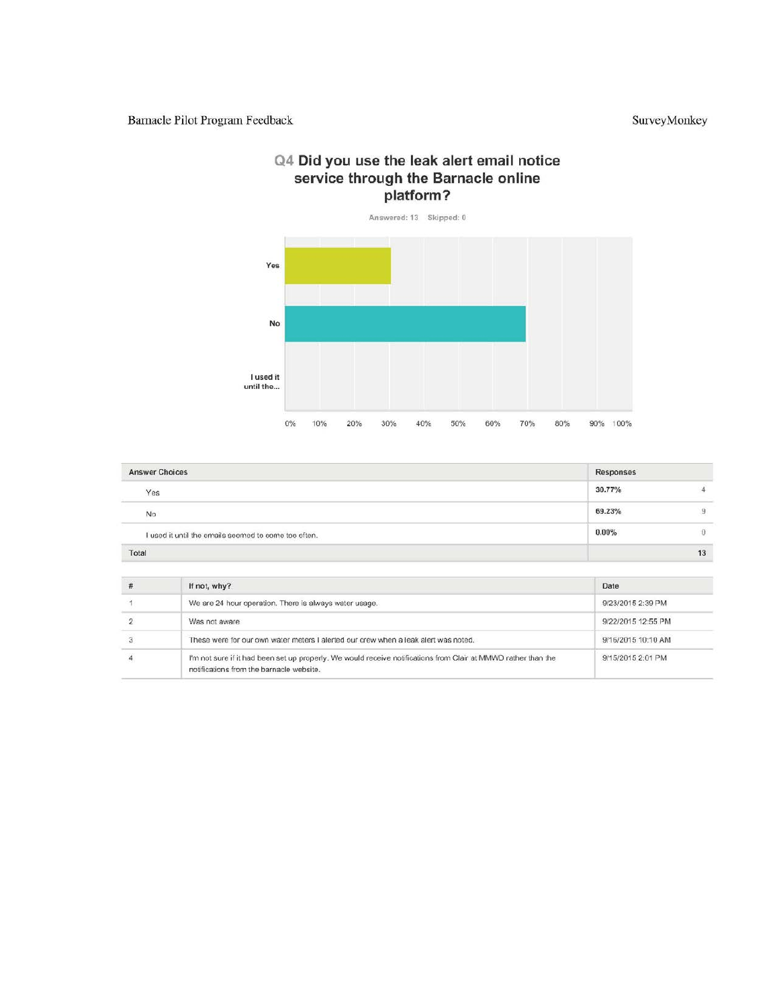# Q4 Did you use the leak alert email notice service through the Barnacle online<br>platform?



| <b>Answer Choices</b>                                | Responses |    |
|------------------------------------------------------|-----------|----|
| Yes                                                  | 30.77%    |    |
| No                                                   | 69.23%    |    |
| I used it until the emails seemed to come too often. | 0.00%     | Ü  |
| Total                                                |           | 13 |

| If not, why?                                                                                                                                               | Date               |
|------------------------------------------------------------------------------------------------------------------------------------------------------------|--------------------|
| We are 24 hour operation. There is always water usage.                                                                                                     | 9/23/2015 2:39 PM  |
| Was not aware                                                                                                                                              | 9/22/2015 12:55 PM |
| These were for our own water meters I alerted our crew when a leak alert was noted.                                                                        | 9/16/2015 10:10 AM |
| I'm not sure if it had been set up properly. We would receive notifications from Clair at MMWD rather than the<br>notifications from the barnacle website. | 9/15/2015 2:01 PM  |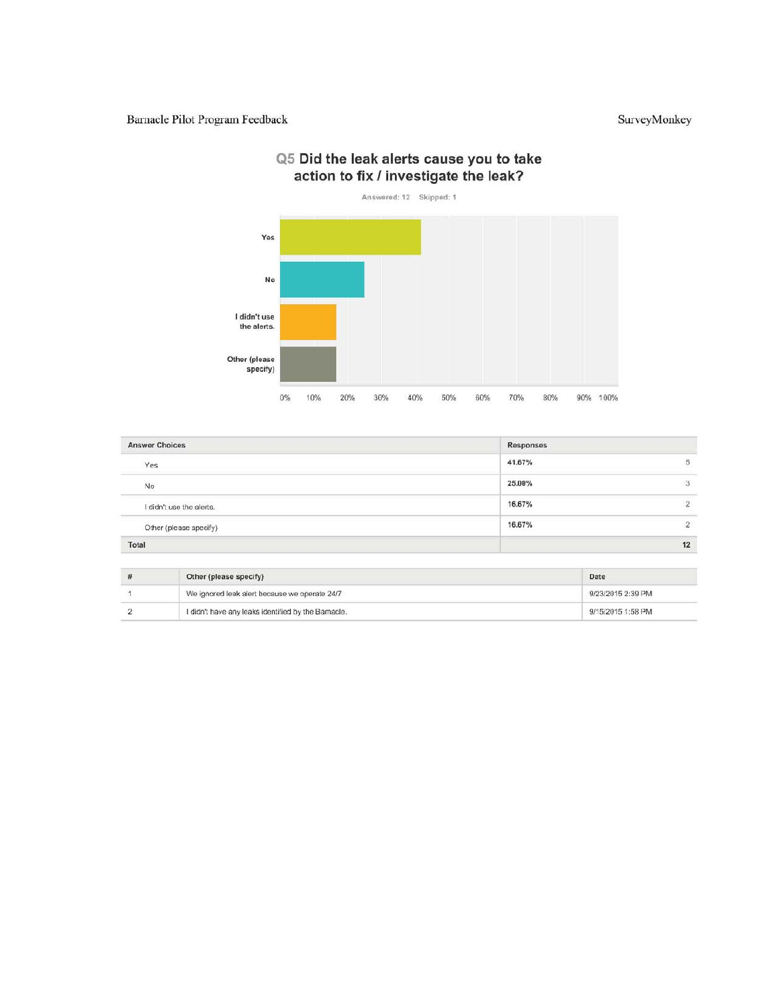#### Barnacle Pilot Program Feedback



# Q5 Did the leak alerts cause you to take action to fix / investigate the leak?

| <b>Answer Choices</b>    | Responses                |                |
|--------------------------|--------------------------|----------------|
| Yes                      | 41.67%                   | $\sqrt{5}$     |
| No                       | CEWS 05-978-00<br>25.00% | 3              |
| I didn't use the alerts. | 16.67%                   | $\overline{2}$ |
| Other (please specify)   | 16.67%                   | 2              |
| Total                    |                          | 12             |

| Other (please specify)                             | Date              |
|----------------------------------------------------|-------------------|
| We ignored leak alert because we operate 24/7      | 9/23/2015 2:39 PM |
| I didn't have any leaks identified by the Bamacle. | 9/15/2015 1:58 PM |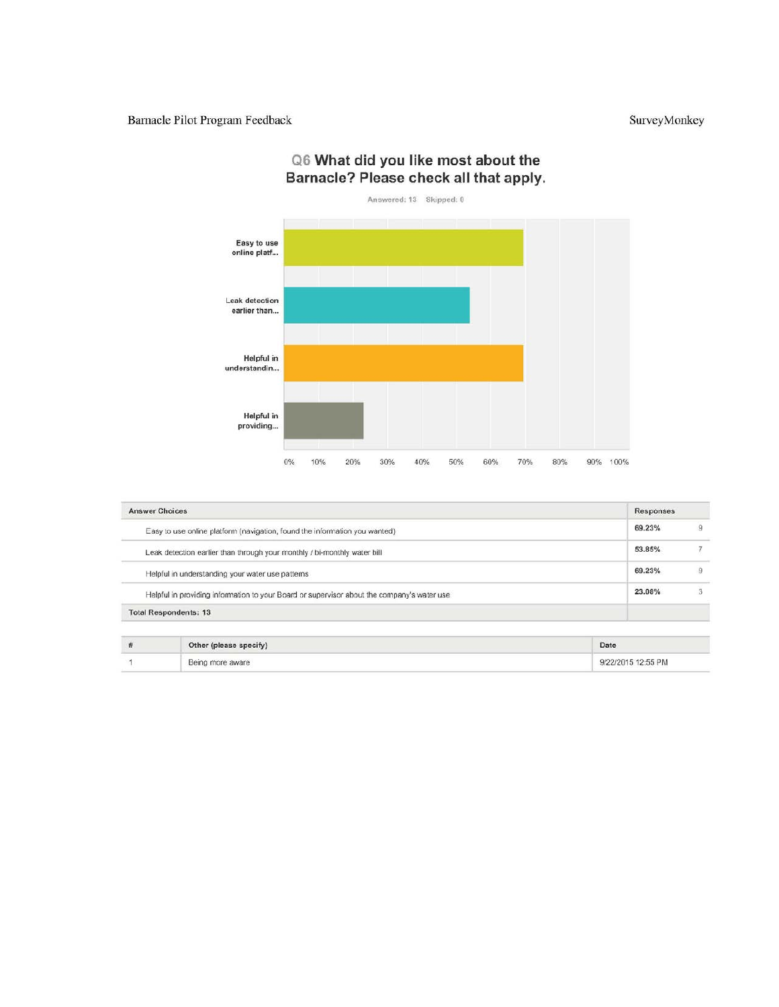

# Q6 What did you like most about the Barnacle? Please check all that apply.

| <b>Answer Choices</b>                                                                      | Responses |
|--------------------------------------------------------------------------------------------|-----------|
| Easy to use online platform (navigation, found the information you wanted)                 | 69.23%    |
| Leak detection earlier than through your monthly / bi-monthly water bill                   | 53.85%    |
| Helpful in understanding your water use patterns                                           | 69.23%    |
| Helpful in providing information to your Board or supervisor about the company's water use | 23.08%    |
| <b>Total Respondents: 13</b>                                                               |           |

| Other (please specify) | Date               |
|------------------------|--------------------|
| Being more aware       | 9/22/2015 12:55 PM |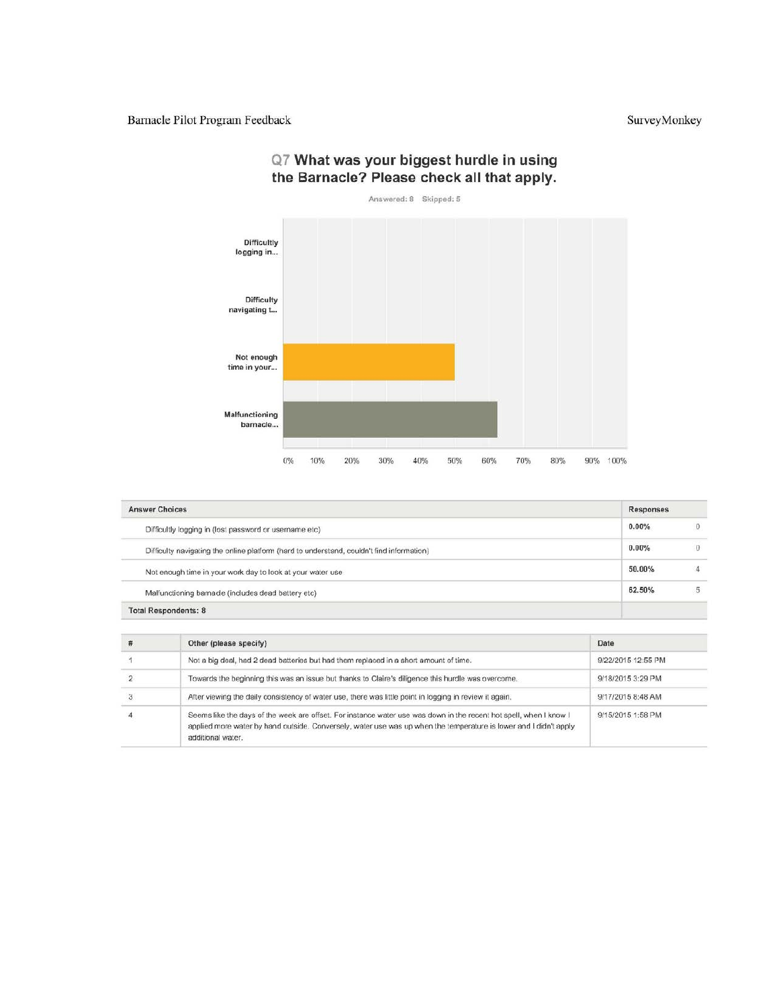

### Q7 What was your biggest hurdle in using the Barnacle? Please check all that apply.

| <b>Answer Choices</b>                                                                     | <b>Responses</b> |
|-------------------------------------------------------------------------------------------|------------------|
| Difficultly logging in (lost password or username etc)                                    | 0<br>0.00%       |
| Difficulty navigating the online platform (hard to understand, couldn't find information) | 0<br>0.00%       |
| Not enough time in your work day to look at your water use                                | 50.00%<br>4      |
| Malfunctioning bamade (includes dead battery etc)                                         | 62.50%<br>5      |

| # | Other (please specify)                                                                                                                                                                                                                                       | Date               |
|---|--------------------------------------------------------------------------------------------------------------------------------------------------------------------------------------------------------------------------------------------------------------|--------------------|
|   | Not a big deal, had 2 dead batteries but had them replaced in a short amount of time.                                                                                                                                                                        | 9/22/2015 12:55 PM |
|   | Towards the beginning this was an issue but thanks to Claire's diligence this hurdle was overcome.                                                                                                                                                           | 9/18/2015 3:29 PM  |
|   | After viewing the daily consistency of water use, there was little point in logging in review it again.                                                                                                                                                      | 9/17/2015 8:48 AM  |
|   | Seems like the days of the week are offset. For instance water use was down in the recent hot spell, when I know I<br>applied more water by hand outside. Conversely, water use was up when the temperature is lower and I didn't apply<br>additional water. | 9/15/2015 1:58 PM  |